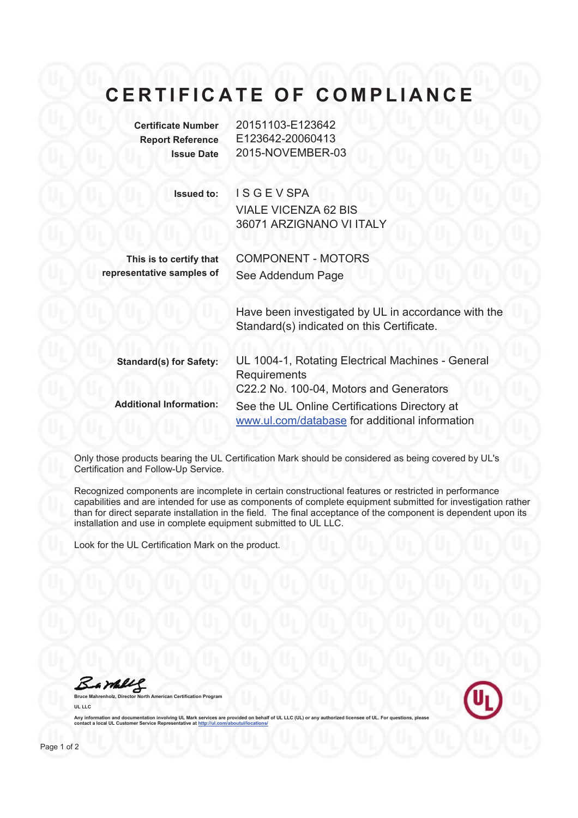## **CERTIFICATE OF COMPLIANCE**

| <b>Certificate Number</b><br><b>Report Reference</b><br><b>Issue Date</b> | 20151103-E123642<br>E123642-20060413<br>2015-NOVEMBER-03                                                            |
|---------------------------------------------------------------------------|---------------------------------------------------------------------------------------------------------------------|
| <b>Issued to:</b>                                                         | <b>ISGEVSPA</b><br><b>VIALE VICENZA 62 BIS</b><br>36071 ARZIGNANO VI ITALY                                          |
| This is to certify that<br>representative samples of                      | <b>COMPONENT - MOTORS</b><br>See Addendum Page                                                                      |
|                                                                           | Have been investigated by UL in accordance with the<br>Standard(s) indicated on this Certificate.                   |
| <b>Standard(s) for Safety:</b>                                            | UL 1004-1, Rotating Electrical Machines - General<br><b>Requirements</b><br>C22.2 No. 100-04, Motors and Generators |
| <b>Additional Information:</b>                                            | See the UL Online Certifications Directory at<br>www.ul.com/database for additional information                     |

Only those products bearing the UL Certification Mark should be considered as being covered by UL's Certification and Follow-Up Service.

Recognized components are incomplete in certain constructional features or restricted in performance capabilities and are intended for use as components of complete equipment submitted for investigation rather than for direct separate installation in the field. The final acceptance of the component is dependent upon its installation and use in complete equipment submitted to UL LLC.

Look for the UL Certification Mark on the product.

Barkey **Bruce Mahrenholz, Director North American Certification Program** 

Any information and documentation involving UL Mark services are provided on behalf of UL LLC (UL) or **contact a local UL Customer Service Representative at http://ul.com/aboutul/locations/** 

**UL LLC**